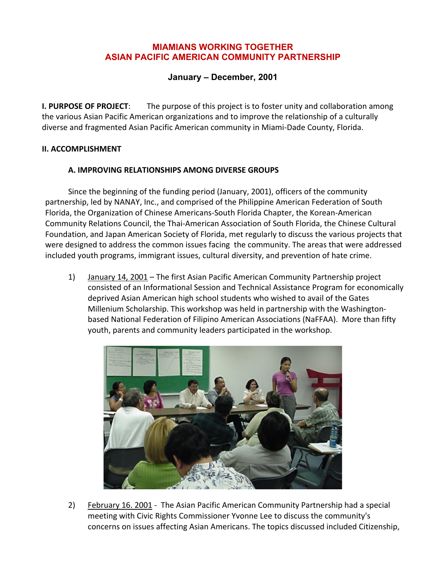### **MIAMIANS WORKING TOGETHER ASIAN PACIFIC AMERICAN COMMUNITY PARTNERSHIP**

## **January – December, 2001**

**I. PURPOSE OF PROJECT**: The purpose of this project is to foster unity and collaboration among the various Asian Pacific American organizations and to improve the relationship of a culturally diverse and fragmented Asian Pacific American community in Miami-Dade County, Florida.

#### **II. ACCOMPLISHMENT**

#### **A. IMPROVING RELATIONSHIPS AMONG DIVERSE GROUPS**

Since the beginning of the funding period (January, 2001), officers of the community partnership, led by NANAY, Inc., and comprised of the Philippine American Federation of South Florida, the Organization of Chinese Americans-South Florida Chapter, the Korean-American Community Relations Council, the Thai-American Association of South Florida, the Chinese Cultural Foundation, and Japan American Society of Florida, met regularly to discuss the various projects that were designed to address the common issues facing the community. The areas that were addressed included youth programs, immigrant issues, cultural diversity, and prevention of hate crime.

1) January 14, 2001 – The first Asian Pacific American Community Partnership project consisted of an Informational Session and Technical Assistance Program for economically deprived Asian American high school students who wished to avail of the Gates Millenium Scholarship. This workshop was held in partnership with the Washingtonbased National Federation of Filipino American Associations (NaFFAA). More than fifty youth, parents and community leaders participated in the workshop.



2) February 16. 2001 - The Asian Pacific American Community Partnership had a special meeting with Civic Rights Commissioner Yvonne Lee to discuss the community's concerns on issues affecting Asian Americans. The topics discussed included Citizenship,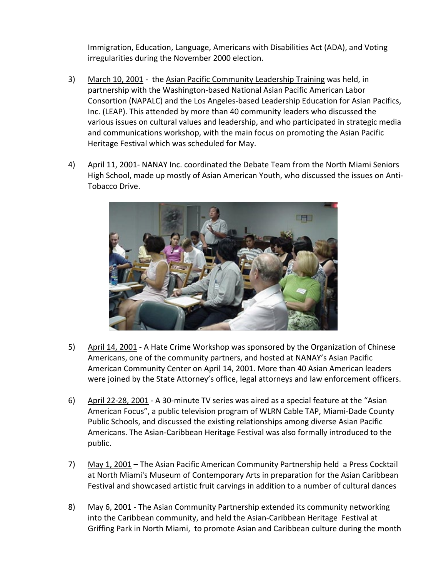Immigration, Education, Language, Americans with Disabilities Act (ADA), and Voting irregularities during the November 2000 election.

- 3) March 10, 2001 the Asian Pacific Community Leadership Training was held, in partnership with the Washington-based National Asian Pacific American Labor Consortion (NAPALC) and the Los Angeles-based Leadership Education for Asian Pacifics, Inc. (LEAP). This attended by more than 40 community leaders who discussed the various issues on cultural values and leadership, and who participated in strategic media and communications workshop, with the main focus on promoting the Asian Pacific Heritage Festival which was scheduled for May.
- 4) April 11, 2001- NANAY Inc. coordinated the Debate Team from the North Miami Seniors High School, made up mostly of Asian American Youth, who discussed the issues on Anti-Tobacco Drive.



- 5) April 14, 2001 A Hate Crime Workshop was sponsored by the Organization of Chinese Americans, one of the community partners, and hosted at NANAY's Asian Pacific American Community Center on April 14, 2001. More than 40 Asian American leaders were joined by the State Attorney's office, legal attorneys and law enforcement officers.
- 6) April 22-28, 2001 A 30-minute TV series was aired as a special feature at the "Asian American Focus", a public television program of WLRN Cable TAP, Miami-Dade County Public Schools, and discussed the existing relationships among diverse Asian Pacific Americans. The Asian-Caribbean Heritage Festival was also formally introduced to the public.
- 7) May 1, 2001 The Asian Pacific American Community Partnership held a Press Cocktail at North Miami's Museum of Contemporary Arts in preparation for the Asian Caribbean Festival and showcased artistic fruit carvings in addition to a number of cultural dances
- 8) May 6, 2001 The Asian Community Partnership extended its community networking into the Caribbean community, and held the Asian-Caribbean Heritage Festival at Griffing Park in North Miami, to promote Asian and Caribbean culture during the month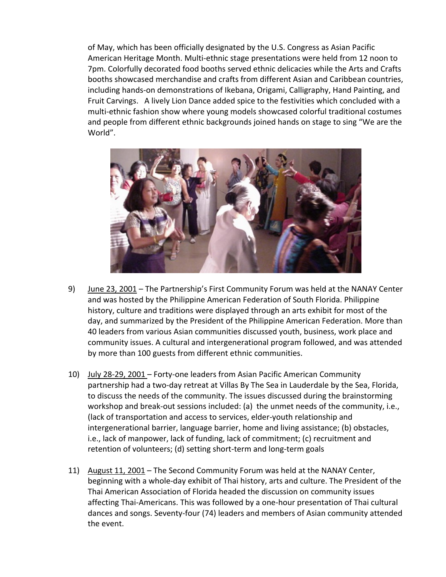of May, which has been officially designated by the U.S. Congress as Asian Pacific American Heritage Month. Multi-ethnic stage presentations were held from 12 noon to 7pm. Colorfully decorated food booths served ethnic delicacies while the Arts and Crafts booths showcased merchandise and crafts from different Asian and Caribbean countries, including hands-on demonstrations of Ikebana, Origami, Calligraphy, Hand Painting, and Fruit Carvings. A lively Lion Dance added spice to the festivities which concluded with a multi-ethnic fashion show where young models showcased colorful traditional costumes and people from different ethnic backgrounds joined hands on stage to sing "We are the World".



- 9) June 23, 2001 The Partnership's First Community Forum was held at the NANAY Center and was hosted by the Philippine American Federation of South Florida. Philippine history, culture and traditions were displayed through an arts exhibit for most of the day, and summarized by the President of the Philippine American Federation. More than 40 leaders from various Asian communities discussed youth, business, work place and community issues. A cultural and intergenerational program followed, and was attended by more than 100 guests from different ethnic communities.
- 10) July 28-29, 2001 Forty-one leaders from Asian Pacific American Community partnership had a two-day retreat at Villas By The Sea in Lauderdale by the Sea, Florida, to discuss the needs of the community. The issues discussed during the brainstorming workshop and break-out sessions included: (a) the unmet needs of the community, i.e., (lack of transportation and access to services, elder-youth relationship and intergenerational barrier, language barrier, home and living assistance; (b) obstacles, i.e., lack of manpower, lack of funding, lack of commitment; (c) recruitment and retention of volunteers; (d) setting short-term and long-term goals
- 11) August 11, 2001 The Second Community Forum was held at the NANAY Center, beginning with a whole-day exhibit of Thai history, arts and culture. The President of the Thai American Association of Florida headed the discussion on community issues affecting Thai-Americans. This was followed by a one-hour presentation of Thai cultural dances and songs. Seventy-four (74) leaders and members of Asian community attended the event.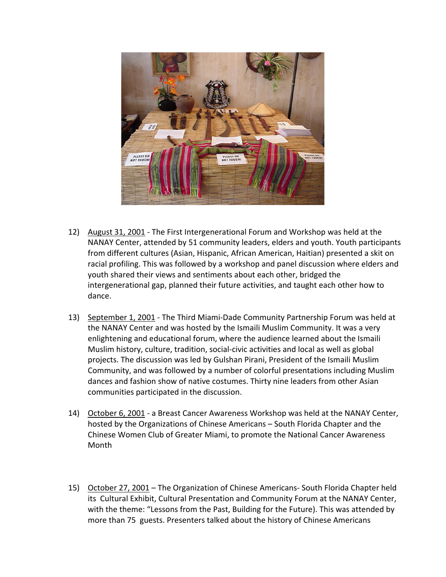

- 12) August 31, 2001 The First Intergenerational Forum and Workshop was held at the NANAY Center, attended by 51 community leaders, elders and youth. Youth participants from different cultures (Asian, Hispanic, African American, Haitian) presented a skit on racial profiling. This was followed by a workshop and panel discussion where elders and youth shared their views and sentiments about each other, bridged the intergenerational gap, planned their future activities, and taught each other how to dance.
- 13) September 1, 2001 The Third Miami-Dade Community Partnership Forum was held at the NANAY Center and was hosted by the Ismaili Muslim Community. It was a very enlightening and educational forum, where the audience learned about the Ismaili Muslim history, culture, tradition, social-civic activities and local as well as global projects. The discussion was led by Gulshan Pirani, President of the Ismaili Muslim Community, and was followed by a number of colorful presentations including Muslim dances and fashion show of native costumes. Thirty nine leaders from other Asian communities participated in the discussion.
- 14) October 6, 2001 a Breast Cancer Awareness Workshop was held at the NANAY Center, hosted by the Organizations of Chinese Americans – South Florida Chapter and the Chinese Women Club of Greater Miami, to promote the National Cancer Awareness Month
- 15) October 27, 2001 The Organization of Chinese Americans- South Florida Chapter held its Cultural Exhibit, Cultural Presentation and Community Forum at the NANAY Center, with the theme: "Lessons from the Past, Building for the Future). This was attended by more than 75 guests. Presenters talked about the history of Chinese Americans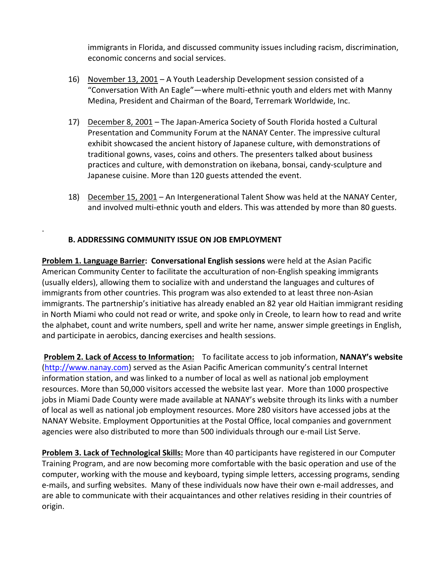immigrants in Florida, and discussed community issues including racism, discrimination, economic concerns and social services.

- 16) November 13, 2001 A Youth Leadership Development session consisted of a "Conversation With An Eagle"—where multi-ethnic youth and elders met with Manny Medina, President and Chairman of the Board, Terremark Worldwide, Inc.
- 17) December 8, 2001 The Japan-America Society of South Florida hosted a Cultural Presentation and Community Forum at the NANAY Center. The impressive cultural exhibit showcased the ancient history of Japanese culture, with demonstrations of traditional gowns, vases, coins and others. The presenters talked about business practices and culture, with demonstration on ikebana, bonsai, candy-sculpture and Japanese cuisine. More than 120 guests attended the event.
- 18) December 15, 2001 An Intergenerational Talent Show was held at the NANAY Center, and involved multi-ethnic youth and elders. This was attended by more than 80 guests.

# **B. ADDRESSING COMMUNITY ISSUE ON JOB EMPLOYMENT**

.

**Problem 1. Language Barrier: Conversational English sessions** were held at the Asian Pacific American Community Center to facilitate the acculturation of non-English speaking immigrants (usually elders), allowing them to socialize with and understand the languages and cultures of immigrants from other countries. This program was also extended to at least three non-Asian immigrants. The partnership's initiative has already enabled an 82 year old Haitian immigrant residing in North Miami who could not read or write, and spoke only in Creole, to learn how to read and write the alphabet, count and write numbers, spell and write her name, answer simple greetings in English, and participate in aerobics, dancing exercises and health sessions.

**Problem 2. Lack of Access to Information:** To facilitate access to job information, **NANAY's website** [\(http://www.nanay.com\)](http://www.nanay.com/) served as the Asian Pacific American community's central Internet information station, and was linked to a number of local as well as national job employment resources. More than 50,000 visitors accessed the website last year. More than 1000 prospective jobs in Miami Dade County were made available at NANAY's website through its links with a number of local as well as national job employment resources. More 280 visitors have accessed jobs at the NANAY Website. Employment Opportunities at the Postal Office, local companies and government agencies were also distributed to more than 500 individuals through our e-mail List Serve.

**Problem 3. Lack of Technological Skills:** More than 40 participants have registered in our Computer Training Program, and are now becoming more comfortable with the basic operation and use of the computer, working with the mouse and keyboard, typing simple letters, accessing programs, sending e-mails, and surfing websites. Many of these individuals now have their own e-mail addresses, and are able to communicate with their acquaintances and other relatives residing in their countries of origin.